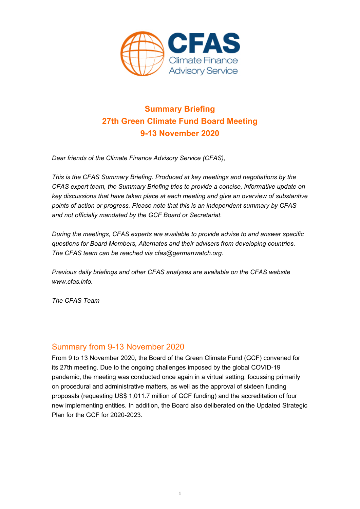

## **Summary Briefing 27th Green Climate Fund Board Meeting 9-13 November 2020**

*Dear friends of the Climate Finance Advisory Service (CFAS),* 

*This is the CFAS Summary Briefing. Produced at key meetings and negotiations by the CFAS expert team, the Summary Briefing tries to provide a concise, informative update on key discussions that have taken place at each meeting and give an overview of substantive points of action or progress. Please note that this is an independent summary by CFAS and not officially mandated by the GCF Board or Secretariat.* 

*During the meetings, CFAS experts are available to provide advise to and answer specific questions for Board Members, Alternates and their advisers from developing countries. The CFAS team can be reached via cfas@germanwatch.org.* 

*Previous daily briefings and other CFAS analyses are available on the CFAS website www.cfas.info.* 

*The CFAS Team* 

#### Summary from 9-13 November 2020

From 9 to 13 November 2020, the Board of the Green Climate Fund (GCF) convened for its 27th meeting. Due to the ongoing challenges imposed by the global COVID-19 pandemic, the meeting was conducted once again in a virtual setting, focussing primarily on procedural and administrative matters, as well as the approval of sixteen funding proposals (requesting US\$ 1,011.7 million of GCF funding) and the accreditation of four new implementing entities. In addition, the Board also deliberated on the Updated Strategic Plan for the GCF for 2020-2023.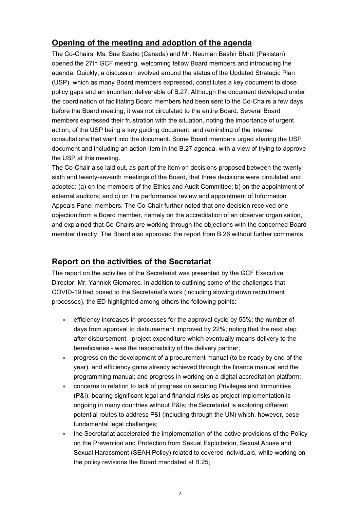### **Opening of the meeting and adoption of the agenda**

The Co-Chairs, Ms. Sue Szabo (Canada) and Mr. Nauman Bashir Bhatti (Pakistan) opened the 27th GCF meeting, welcoming fellow Board members and introducing the agenda. Quickly, a discussion evolved around the status of the Updated Strategic Plan (USP), which as many Board members expressed, constitutes a key document to close policy gaps and an important deliverable of B.27. Although the document developed under the coordination of facilitating Board members had been sent to the Co-Chairs a few days before the Board meeting, it was not circulated to the entire Board. Several Board members expressed their frustration with the situation, noting the importance of urgent action, of the USP being a key guiding document, and reminding of the intense consultations that went into the document. Some Board members urged sharing the USP document and including an action item in the B.27 agenda, with a view of trying to approve the USP at this meeting.

The Co-Chair also laid out, as part of the item on decisions proposed between the twentysixth and twenty-seventh meetings of the Board, that three decisions were circulated and adopted: (a) on the members of the Ethics and Audit Committee; b) on the appointment of external auditors; and c) on the performance review and appointment of Information Appeals Panel members. The Co-Chair further noted that one decision received one objection from a Board member, namely on the accreditation of an observer organisation, and explained that Co-Chairs are working through the objections with the concerned Board member directly. The Board also approved the report from B.26 without further comments.

### **Report on the activities of the Secretariat**

The report on the activities of the Secretariat was presented by the GCF Executive Director, Mr. Yannick Glemarec. In addition to outlining some of the challenges that COVID-19 had posed to the Secretariat's work (including slowing down recruitment processes), the ED highlighted among others the following points:

- efficiency increases in processes for the approval cycle by 55%; the number of days from approval to disbursement improved by 22%; noting that the next step after disbursement - project expenditure which eventually means delivery to the beneficiaries - was the responsibility of the delivery partner;
- progress on the development of a procurement manual (to be ready by end of the year), and efficiency gains already achieved through the finance manual and the programming manual; and progress in working on a digital accreditation platform;
- concerns in relation to lack of progress on securing Privileges and Immunities (P&I), bearing significant legal and financial risks as project implementation is ongoing in many countries without P&Is; the Secretariat is exploring different potential routes to address P&I (including through the UN) which, however, pose fundamental legal challenges;
- the Secretariat accelerated the implementation of the active provisions of the Policy on the Prevention and Protection from Sexual Exploitation, Sexual Abuse and Sexual Harassment (SEAH Policy) related to covered individuals, while working on the policy revisions the Board mandated at B.25;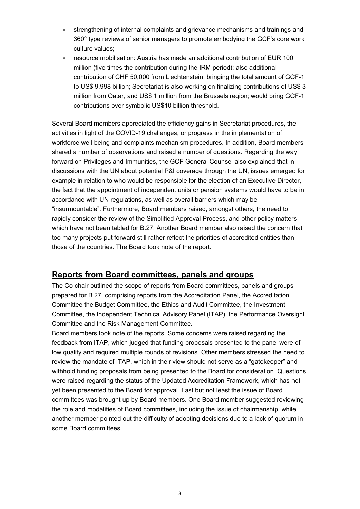- strengthening of internal complaints and grievance mechanisms and trainings and 360° type reviews of senior managers to promote embodying the GCF's core work culture values;
- resource mobilisation: Austria has made an additional contribution of EUR 100 million (five times the contribution during the IRM period); also additional contribution of CHF 50,000 from Liechtenstein, bringing the total amount of GCF-1 to US\$ 9.998 billion; Secretariat is also working on finalizing contributions of US\$ 3 million from Qatar, and US\$ 1 million from the Brussels region; would bring GCF-1 contributions over symbolic US\$10 billion threshold.

Several Board members appreciated the efficiency gains in Secretariat procedures, the activities in light of the COVID-19 challenges, or progress in the implementation of workforce well-being and complaints mechanism procedures. In addition, Board members shared a number of observations and raised a number of questions. Regarding the way forward on Privileges and Immunities, the GCF General Counsel also explained that in discussions with the UN about potential P&I coverage through the UN, issues emerged for example in relation to who would be responsible for the election of an Executive Director, the fact that the appointment of independent units or pension systems would have to be in accordance with UN regulations, as well as overall barriers which may be "insurmountable". Furthermore, Board members raised, amongst others, the need to rapidly consider the review of the Simplified Approval Process, and other policy matters which have not been tabled for B.27. Another Board member also raised the concern that too many projects put forward still rather reflect the priorities of accredited entities than those of the countries. The Board took note of the report.

#### **Reports from Board committees, panels and groups**

The Co-chair outlined the scope of reports from Board committees, panels and groups prepared for B.27, comprising reports from the Accreditation Panel, the Accreditation Committee the Budget Committee, the Ethics and Audit Committee, the Investment Committee, the Independent Technical Advisory Panel (ITAP), the Performance Oversight Committee and the Risk Management Committee.

Board members took note of the reports. Some concerns were raised regarding the feedback from ITAP, which judged that funding proposals presented to the panel were of low quality and required multiple rounds of revisions. Other members stressed the need to review the mandate of ITAP, which in their view should not serve as a "gatekeeper" and withhold funding proposals from being presented to the Board for consideration. Questions were raised regarding the status of the Updated Accreditation Framework, which has not yet been presented to the Board for approval. Last but not least the issue of Board committees was brought up by Board members. One Board member suggested reviewing the role and modalities of Board committees, including the issue of chairmanship, while another member pointed out the difficulty of adopting decisions due to a lack of quorum in some Board committees.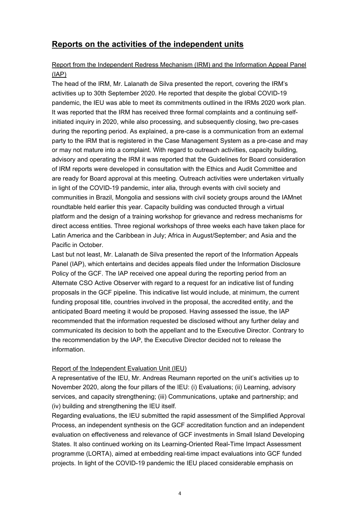### **Reports on the activities of the independent units**

#### Report from the Independent Redress Mechanism (IRM) and the Information Appeal Panel (IAP)

The head of the IRM, Mr. Lalanath de Silva presented the report, covering the IRM's activities up to 30th September 2020. He reported that despite the global COVID-19 pandemic, the IEU was able to meet its commitments outlined in the IRMs 2020 work plan. It was reported that the IRM has received three formal complaints and a continuing selfinitiated inquiry in 2020, while also processing, and subsequently closing, two pre-cases during the reporting period. As explained, a pre-case is a communication from an external party to the IRM that is registered in the Case Management System as a pre-case and may or may not mature into a complaint. With regard to outreach activities, capacity building, advisory and operating the IRM it was reported that the Guidelines for Board consideration of IRM reports were developed in consultation with the Ethics and Audit Committee and are ready for Board approval at this meeting. Outreach activities were undertaken virtually in light of the COVID-19 pandemic, inter alia, through events with civil society and communities in Brazil, Mongolia and sessions with civil society groups around the IAMnet roundtable held earlier this year. Capacity building was conducted through a virtual platform and the design of a training workshop for grievance and redress mechanisms for direct access entities. Three regional workshops of three weeks each have taken place for Latin America and the Caribbean in July; Africa in August/September; and Asia and the Pacific in October.

Last but not least, Mr. Lalanath de Silva presented the report of the Information Appeals Panel (IAP), which entertains and decides appeals filed under the Information Disclosure Policy of the GCF. The IAP received one appeal during the reporting period from an Alternate CSO Active Observer with regard to a request for an indicative list of funding proposals in the GCF pipeline. This indicative list would include, at minimum, the current funding proposal title, countries involved in the proposal, the accredited entity, and the anticipated Board meeting it would be proposed. Having assessed the issue, the IAP recommended that the information requested be disclosed without any further delay and communicated its decision to both the appellant and to the Executive Director. Contrary to the recommendation by the IAP, the Executive Director decided not to release the information.

#### Report of the Independent Evaluation Unit (IEU)

A representative of the IEU, Mr. Andreas Reumann reported on the unit's activities up to November 2020, along the four pillars of the IEU: (i) Evaluations; (ii) Learning, advisory services, and capacity strengthening; (iii) Communications, uptake and partnership; and (iv) building and strengthening the IEU itself.

Regarding evaluations, the IEU submitted the rapid assessment of the Simplified Approval Process, an independent synthesis on the GCF accreditation function and an independent evaluation on effectiveness and relevance of GCF investments in Small Island Developing States. It also continued working on its Learning-Oriented Real-Time Impact Assessment programme (LORTA), aimed at embedding real-time impact evaluations into GCF funded projects. In light of the COVID-19 pandemic the IEU placed considerable emphasis on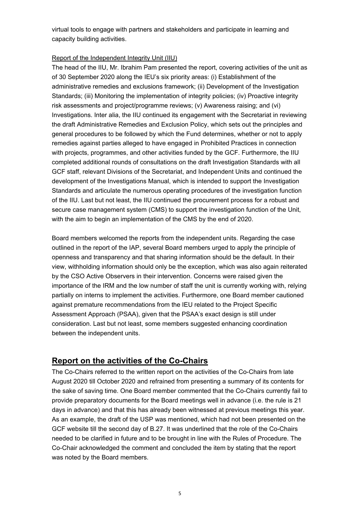virtual tools to engage with partners and stakeholders and participate in learning and capacity building activities.

#### Report of the Independent Integrity Unit (IIU)

The head of the IIU, Mr. Ibrahim Pam presented the report, covering activities of the unit as of 30 September 2020 along the IEU's six priority areas: (i) Establishment of the administrative remedies and exclusions framework; (ii) Development of the Investigation Standards; (iii) Monitoring the implementation of integrity policies; (iv) Proactive integrity risk assessments and project/programme reviews; (v) Awareness raising; and (vi) Investigations. Inter alia, the IIU continued its engagement with the Secretariat in reviewing the draft Administrative Remedies and Exclusion Policy, which sets out the principles and general procedures to be followed by which the Fund determines, whether or not to apply remedies against parties alleged to have engaged in Prohibited Practices in connection with projects, programmes, and other activities funded by the GCF. Furthermore, the IIU completed additional rounds of consultations on the draft Investigation Standards with all GCF staff, relevant Divisions of the Secretariat, and Independent Units and continued the development of the Investigations Manual, which is intended to support the Investigation Standards and articulate the numerous operating procedures of the investigation function of the IIU. Last but not least, the IIU continued the procurement process for a robust and secure case management system (CMS) to support the investigation function of the Unit, with the aim to begin an implementation of the CMS by the end of 2020.

Board members welcomed the reports from the independent units. Regarding the case outlined in the report of the IAP, several Board members urged to apply the principle of openness and transparency and that sharing information should be the default. In their view, withholding information should only be the exception, which was also again reiterated by the CSO Active Observers in their intervention. Concerns were raised given the importance of the IRM and the low number of staff the unit is currently working with, relying partially on interns to implement the activities. Furthermore, one Board member cautioned against premature recommendations from the IEU related to the Project Specific Assessment Approach (PSAA), given that the PSAA's exact design is still under consideration. Last but not least, some members suggested enhancing coordination between the independent units.

### **Report on the activities of the Co-Chairs**

The Co-Chairs referred to the written report on the activities of the Co-Chairs from late August 2020 till October 2020 and refrained from presenting a summary of its contents for the sake of saving time. One Board member commented that the Co-Chairs currently fail to provide preparatory documents for the Board meetings well in advance (i.e. the rule is 21 days in advance) and that this has already been witnessed at previous meetings this year. As an example, the draft of the USP was mentioned, which had not been presented on the GCF website till the second day of B.27. It was underlined that the role of the Co-Chairs needed to be clarified in future and to be brought in line with the Rules of Procedure. The Co-Chair acknowledged the comment and concluded the item by stating that the report was noted by the Board members.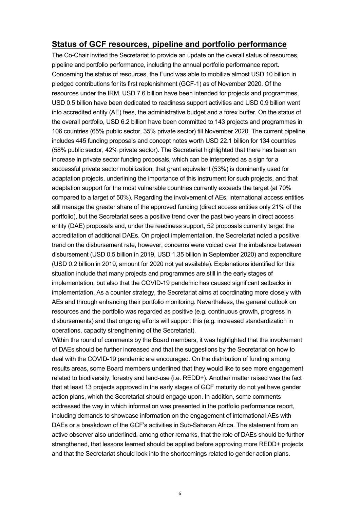#### **Status of GCF resources, pipeline and portfolio performance**

The Co-Chair invited the Secretariat to provide an update on the overall status of resources, pipeline and portfolio performance, including the annual portfolio performance report. Concerning the status of resources, the Fund was able to mobilize almost USD 10 billion in pledged contributions for its first replenishment (GCF-1) as of November 2020. Of the resources under the IRM, USD 7.6 billion have been intended for projects and programmes, USD 0.5 billion have been dedicated to readiness support activities and USD 0.9 billion went into accredited entity (AE) fees, the administrative budget and a forex buffer. On the status of the overall portfolio, USD 6.2 billion have been committed to 143 projects and programmes in 106 countries (65% public sector, 35% private sector) till November 2020. The current pipeline includes 445 funding proposals and concept notes worth USD 22.1 billion for 134 countries (58% public sector, 42% private sector). The Secretariat highlighted that there has been an increase in private sector funding proposals, which can be interpreted as a sign for a successful private sector mobilization, that grant equivalent (53%) is dominantly used for adaptation projects, underlining the importance of this instrument for such projects, and that adaptation support for the most vulnerable countries currently exceeds the target (at 70% compared to a target of 50%). Regarding the involvement of AEs, international access entities still manage the greater share of the approved funding (direct access entities only 21% of the portfolio), but the Secretariat sees a positive trend over the past two years in direct access entity (DAE) proposals and, under the readiness support, 52 proposals currently target the accreditation of additional DAEs. On project implementation, the Secretariat noted a positive trend on the disbursement rate, however, concerns were voiced over the imbalance between disbursement (USD 0.5 billion in 2019, USD 1.35 billion in September 2020) and expenditure (USD 0.2 billion in 2019, amount for 2020 not yet available). Explanations identified for this situation include that many projects and programmes are still in the early stages of implementation, but also that the COVID-19 pandemic has caused significant setbacks in implementation. As a counter strategy, the Secretariat aims at coordinating more closely with AEs and through enhancing their portfolio monitoring. Nevertheless, the general outlook on resources and the portfolio was regarded as positive (e.g. continuous growth, progress in disbursements) and that ongoing efforts will support this (e.g. increased standardization in operations, capacity strengthening of the Secretariat).

Within the round of comments by the Board members, it was highlighted that the involvement of DAEs should be further increased and that the suggestions by the Secretariat on how to deal with the COVID-19 pandemic are encouraged. On the distribution of funding among results areas, some Board members underlined that they would like to see more engagement related to biodiversity, forestry and land-use (i.e. REDD+). Another matter raised was the fact that at least 13 projects approved in the early stages of GCF maturity do not yet have gender action plans, which the Secretariat should engage upon. In addition, some comments addressed the way in which information was presented in the portfolio performance report, including demands to showcase information on the engagement of international AEs with DAEs or a breakdown of the GCF's activities in Sub-Saharan Africa. The statement from an active observer also underlined, among other remarks, that the role of DAEs should be further strengthened, that lessons learned should be applied before approving more REDD+ projects and that the Secretariat should look into the shortcomings related to gender action plans.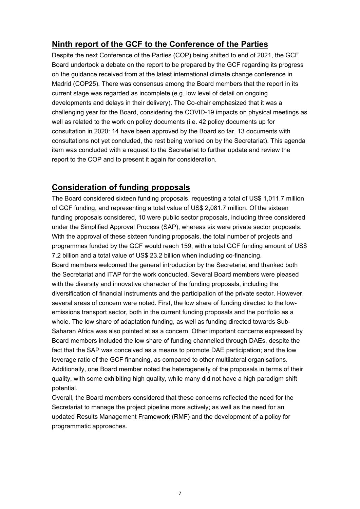### **Ninth report of the GCF to the Conference of the Parties**

Despite the next Conference of the Parties (COP) being shifted to end of 2021, the GCF Board undertook a debate on the report to be prepared by the GCF regarding its progress on the guidance received from at the latest international climate change conference in Madrid (COP25). There was consensus among the Board members that the report in its current stage was regarded as incomplete (e.g. low level of detail on ongoing developments and delays in their delivery). The Co-chair emphasized that it was a challenging year for the Board, considering the COVID-19 impacts on physical meetings as well as related to the work on policy documents (i.e. 42 policy documents up for consultation in 2020: 14 have been approved by the Board so far, 13 documents with consultations not yet concluded, the rest being worked on by the Secretariat). This agenda item was concluded with a request to the Secretariat to further update and review the report to the COP and to present it again for consideration.

### **Consideration of funding proposals**

The Board considered sixteen funding proposals, requesting a total of US\$ 1,011.7 million of GCF funding, and representing a total value of US\$ 2,081.7 million. Of the sixteen funding proposals considered, 10 were public sector proposals, including three considered under the Simplified Approval Process (SAP), whereas six were private sector proposals. With the approval of these sixteen funding proposals, the total number of projects and programmes funded by the GCF would reach 159, with a total GCF funding amount of US\$ 7.2 billion and a total value of US\$ 23.2 billion when including co-financing. Board members welcomed the general introduction by the Secretariat and thanked both the Secretariat and ITAP for the work conducted. Several Board members were pleased with the diversity and innovative character of the funding proposals, including the diversification of financial instruments and the participation of the private sector. However, several areas of concern were noted. First, the low share of funding directed to the lowemissions transport sector, both in the current funding proposals and the portfolio as a whole. The low share of adaptation funding, as well as funding directed towards Sub-Saharan Africa was also pointed at as a concern. Other important concerns expressed by Board members included the low share of funding channelled through DAEs, despite the fact that the SAP was conceived as a means to promote DAE participation; and the low leverage ratio of the GCF financing, as compared to other multilateral organisations. Additionally, one Board member noted the heterogeneity of the proposals in terms of their quality, with some exhibiting high quality, while many did not have a high paradigm shift potential.

Overall, the Board members considered that these concerns reflected the need for the Secretariat to manage the project pipeline more actively; as well as the need for an updated Results Management Framework (RMF) and the development of a policy for programmatic approaches.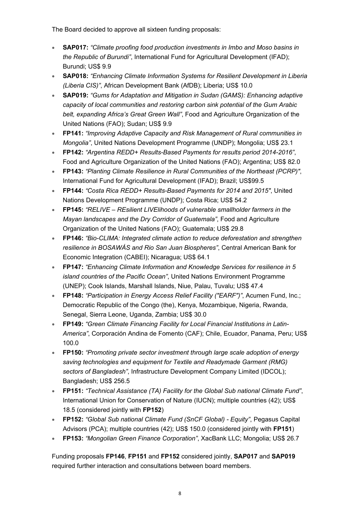The Board decided to approve all sixteen funding proposals:

- **SAP017:** *"Climate proofing food production investments in Imbo and Moso basins in the Republic of Burundi"*, International Fund for Agricultural Development (IFAD); Burundi; US\$ 9.9
- **SAP018:** *"Enhancing Climate Information Systems for Resilient Development in Liberia (Liberia CIS)"*, African Development Bank (AfDB); Liberia; US\$ 10.0
- **SAP019:** *"Gums for Adaptation and Mitigation in Sudan (GAMS): Enhancing adaptive capacity of local communities and restoring carbon sink potential of the Gum Arabic belt, expanding Africa's Great Green Wall"*, Food and Agriculture Organization of the United Nations (FAO); Sudan; US\$ 9.9
- **FP141:** *"Improving Adaptive Capacity and Risk Management of Rural communities in Mongolia"*, United Nations Development Programme (UNDP); Mongolia; US\$ 23.1
- **FP142:** *"Argentina REDD+ Results-Based Payments for results period 2014-2016"*, Food and Agriculture Organization of the United Nations (FAO); Argentina; US\$ 82.0
- **FP143:** *"Planting Climate Resilience in Rural Communities of the Northeast (PCRP)"*, International Fund for Agricultural Development (IFAD); Brazil; US\$99.5
- **FP144:** *"Costa Rica REDD+ Results-Based Payments for 2014 and 2015"*, United Nations Development Programme (UNDP); Costa Rica; US\$ 54.2
- **FP145:** *"RELIVE REsilient LIVElihoods of vulnerable smallholder farmers in the Mayan landscapes and the Dry Corridor of Guatemala"*, Food and Agriculture Organization of the United Nations (FAO); Guatemala; US\$ 29.8
- **FP146:** *"Bio-CLIMA: Integrated climate action to reduce deforestation and strengthen resilience in BOSAWÁS and Rio San Juan Biospheres"*, Central American Bank for Economic Integration (CABEI); Nicaragua; US\$ 64.1
- **FP147:** *"Enhancing Climate Information and Knowledge Services for resilience in 5 island countries of the Pacific Ocean"*, United Nations Environment Programme (UNEP); Cook Islands, Marshall Islands, Niue, Palau, Tuvalu; US\$ 47.4
- **FP148:** *"Participation in Energy Access Relief Facility ("EARF")"*, Acumen Fund, Inc.; Democratic Republic of the Congo (the), Kenya, Mozambique, Nigeria, Rwanda, Senegal, Sierra Leone, Uganda, Zambia; US\$ 30.0
- **FP149:** *"Green Climate Financing Facility for Local Financial Institutions in Latin-America"*, Corporación Andina de Fomento (CAF); Chile, Ecuador, Panama, Peru; US\$ 100.0
- **FP150:** *"Promoting private sector investment through large scale adoption of energy saving technologies and equipment for Textile and Readymade Garment (RMG) sectors of Bangladesh"*, Infrastructure Development Company Limited (IDCOL); Bangladesh; US\$ 256.5
- **FP151:** *"Technical Assistance (TA) Facility for the Global Sub national Climate Fund"*, International Union for Conservation of Nature (IUCN); multiple countries (42); US\$ 18.5 (considered jointly with **FP152**)
- **FP152:** *"Global Sub national Climate Fund (SnCF Global) Equity"*, Pegasus Capital Advisors (PCA); multiple countries (42); US\$ 150.0 (considered jointly with **FP151**)
- **FP153:** *"Mongolian Green Finance Corporation"*, XacBank LLC; Mongolia; US\$ 26.7

Funding proposals **FP146**, **FP151** and **FP152** considered jointly, **SAP017** and **SAP019** required further interaction and consultations between board members.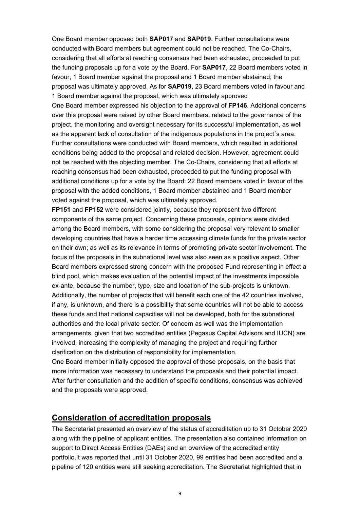One Board member opposed both **SAP017** and **SAP019**. Further consultations were conducted with Board members but agreement could not be reached. The Co-Chairs, considering that all efforts at reaching consensus had been exhausted, proceeded to put the funding proposals up for a vote by the Board. For **SAP017**, 22 Board members voted in favour, 1 Board member against the proposal and 1 Board member abstained; the proposal was ultimately approved. As for **SAP019**, 23 Board members voted in favour and 1 Board member against the proposal, which was ultimately approved

One Board member expressed his objection to the approval of **FP146**. Additional concerns over this proposal were raised by other Board members, related to the governance of the project, the monitoring and oversight necessary for its successful implementation, as well as the apparent lack of consultation of the indigenous populations in the project´s area. Further consultations were conducted with Board members, which resulted in additional conditions being added to the proposal and related decision. However, agreement could not be reached with the objecting member. The Co-Chairs, considering that all efforts at reaching consensus had been exhausted, proceeded to put the funding proposal with additional conditions up for a vote by the Board: 22 Board members voted in favour of the proposal with the added conditions, 1 Board member abstained and 1 Board member voted against the proposal, which was ultimately approved.

**FP151** and **FP152** were considered jointly, because they represent two different components of the same project. Concerning these proposals, opinions were divided among the Board members, with some considering the proposal very relevant to smaller developing countries that have a harder time accessing climate funds for the private sector on their own; as well as its relevance in terms of promoting private sector involvement. The focus of the proposals in the subnational level was also seen as a positive aspect. Other Board members expressed strong concern with the proposed Fund representing in effect a blind pool, which makes evaluation of the potential impact of the investments impossible ex-ante, because the number, type, size and location of the sub-projects is unknown. Additionally, the number of projects that will benefit each one of the 42 countries involved, if any, is unknown, and there is a possibility that some countries will not be able to access these funds and that national capacities will not be developed, both for the subnational authorities and the local private sector. Of concern as well was the implementation arrangements, given that two accredited entities (Pegasus Capital Advisors and IUCN) are involved, increasing the complexity of managing the project and requiring further clarification on the distribution of responsibility for implementation.

One Board member initially opposed the approval of these proposals, on the basis that more information was necessary to understand the proposals and their potential impact. After further consultation and the addition of specific conditions, consensus was achieved and the proposals were approved.

#### **Consideration of accreditation proposals**

The Secretariat presented an overview of the status of accreditation up to 31 October 2020 along with the pipeline of applicant entities. The presentation also contained information on support to Direct Access Entities (DAEs) and an overview of the accredited entity portfolio.It was reported that until 31 October 2020, 99 entities had been accredited and a pipeline of 120 entities were still seeking accreditation. The Secretariat highlighted that in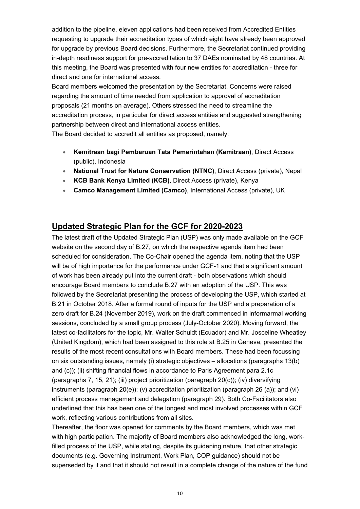addition to the pipeline, eleven applications had been received from Accredited Entities requesting to upgrade their accreditation types of which eight have already been approved for upgrade by previous Board decisions. Furthermore, the Secretariat continued providing in-depth readiness support for pre-accreditation to 37 DAEs nominated by 48 countries. At this meeting, the Board was presented with four new entities for accreditation - three for direct and one for international access.

Board members welcomed the presentation by the Secretariat. Concerns were raised regarding the amount of time needed from application to approval of accreditation proposals (21 months on average). Others stressed the need to streamline the accreditation process, in particular for direct access entities and suggested strengthening partnership between direct and international access entities.

The Board decided to accredit all entities as proposed, namely:

- **Kemitraan bagi Pembaruan Tata Pemerintahan (Kemitraan)**, Direct Access (public), Indonesia
- **National Trust for Nature Conservation (NTNC)**, Direct Access (private), Nepal
- **KCB Bank Kenya Limited (KCB)**, Direct Access (private), Kenya
- **Camco Management Limited (Camco)**, International Access (private), UK

### **Updated Strategic Plan for the GCF for 2020-2023**

The latest draft of the Updated Strategic Plan (USP) was only made available on the GCF website on the second day of B.27, on which the respective agenda item had been scheduled for consideration. The Co-Chair opened the agenda item, noting that the USP will be of high importance for the performance under GCF-1 and that a significant amount of work has been already put into the current draft - both observations which should encourage Board members to conclude B.27 with an adoption of the USP. This was followed by the Secretariat presenting the process of developing the USP, which started at B.21 in October 2018. After a formal round of inputs for the USP and a preparation of a zero draft for B.24 (November 2019), work on the draft commenced in informarmal working sessions, concluded by a small group process (July-October 2020). Moving forward, the latest co-facilitators for the topic, Mr. Walter Schuldt (Ecuador) and Mr. Josceline Wheatley (United Kingdom), which had been assigned to this role at B.25 in Geneva, presented the results of the most recent consultations with Board members. These had been focussing on six outstanding issues, namely (i) strategic objectives – allocations (paragraphs 13(b) and (c)); (ii) shifting financial flows in accordance to Paris Agreement para 2.1c (paragraphs 7, 15, 21); (iii) project prioritization (paragraph 20(c)); (iv) diversifying instruments (paragraph 20(e)); (v) accreditation prioritization (paragraph 26 (a)); and (vi) efficient process management and delegation (paragraph 29). Both Co-Facilitators also underlined that this has been one of the longest and most involved processes within GCF work, reflecting various contributions from all sites.

Thereafter, the floor was opened for comments by the Board members, which was met with high participation. The majority of Board members also acknowledged the long, workfilled process of the USP, while stating, despite its guidening nature, that other strategic documents (e.g. Governing Instrument, Work Plan, COP guidance) should not be superseded by it and that it should not result in a complete change of the nature of the fund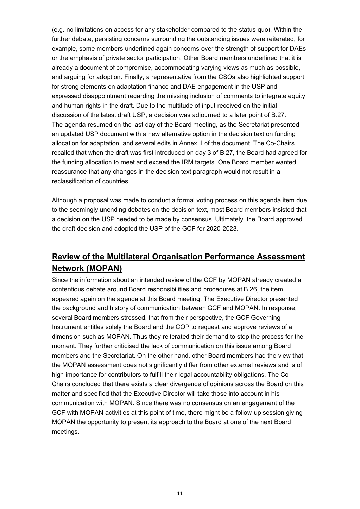(e.g. no limitations on access for any stakeholder compared to the status quo). Within the further debate, persisting concerns surrounding the outstanding issues were reiterated, for example, some members underlined again concerns over the strength of support for DAEs or the emphasis of private sector participation. Other Board members underlined that it is already a document of compromise, accommodating varying views as much as possible, and arguing for adoption. Finally, a representative from the CSOs also highlighted support for strong elements on adaptation finance and DAE engagement in the USP and expressed disappointment regarding the missing inclusion of comments to integrate equity and human rights in the draft. Due to the multitude of input received on the initial discussion of the latest draft USP, a decision was adjourned to a later point of B.27. The agenda resumed on the last day of the Board meeting, as the Secretariat presented an updated USP document with a new alternative option in the decision text on funding allocation for adaptation, and several edits in Annex II of the document. The Co-Chairs recalled that when the draft was first introduced on day 3 of B.27, the Board had agreed for the funding allocation to meet and exceed the IRM targets. One Board member wanted reassurance that any changes in the decision text paragraph would not result in a reclassification of countries.

Although a proposal was made to conduct a formal voting process on this agenda item due to the seemingly unending debates on the decision text, most Board members insisted that a decision on the USP needed to be made by consensus. Ultimately, the Board approved the draft decision and adopted the USP of the GCF for 2020-2023.

## **Review of the Multilateral Organisation Performance Assessment Network (MOPAN)**

Since the information about an intended review of the GCF by MOPAN already created a contentious debate around Board responsibilities and procedures at B.26, the item appeared again on the agenda at this Board meeting. The Executive Director presented the background and history of communication between GCF and MOPAN. In response, several Board members stressed, that from their perspective, the GCF Governing Instrument entitles solely the Board and the COP to request and approve reviews of a dimension such as MOPAN. Thus they reiterated their demand to stop the process for the moment. They further criticised the lack of communication on this issue among Board members and the Secretariat. On the other hand, other Board members had the view that the MOPAN assessment does not significantly differ from other external reviews and is of high importance for contributors to fulfill their legal accountability obligations. The Co-Chairs concluded that there exists a clear divergence of opinions across the Board on this matter and specified that the Executive Director will take those into account in his communication with MOPAN. Since there was no consensus on an engagement of the GCF with MOPAN activities at this point of time, there might be a follow-up session giving MOPAN the opportunity to present its approach to the Board at one of the next Board meetings.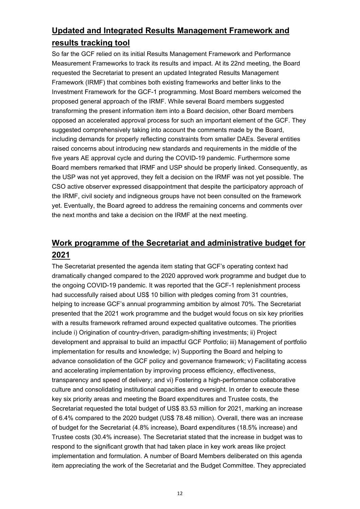## **Updated and Integrated Results Management Framework and results tracking tool**

So far the GCF relied on its initial Results Management Framework and Performance Measurement Frameworks to track its results and impact. At its 22nd meeting, the Board requested the Secretariat to present an updated Integrated Results Management Framework (IRMF) that combines both existing frameworks and better links to the Investment Framework for the GCF-1 programming. Most Board members welcomed the proposed general approach of the IRMF. While several Board members suggested transforming the present information item into a Board decision, other Board members opposed an accelerated approval process for such an important element of the GCF. They suggested comprehensively taking into account the comments made by the Board, including demands for properly reflecting constraints from smaller DAEs. Several entities raised concerns about introducing new standards and requirements in the middle of the five years AE approval cycle and during the COVID-19 pandemic. Furthermore some Board members remarked that IRMF and USP should be properly linked. Consequently, as the USP was not yet approved, they felt a decision on the IRMF was not yet possible. The CSO active observer expressed disappointment that despite the participatory approach of the IRMF, civil society and indigneous groups have not been consulted on the framework yet. Eventually, the Board agreed to address the remaining concerns and comments over the next months and take a decision on the IRMF at the next meeting.

## **Work programme of the Secretariat and administrative budget for 2021**

The Secretariat presented the agenda item stating that GCF's operating context had dramatically changed compared to the 2020 approved work programme and budget due to the ongoing COVID-19 pandemic. It was reported that the GCF-1 replenishment process had successfully raised about US\$ 10 billion with pledges coming from 31 countries, helping to increase GCF's annual programming ambition by almost 70%. The Secretariat presented that the 2021 work programme and the budget would focus on six key priorities with a results framework reframed around expected qualitative outcomes. The priorities include i) Origination of country-driven, paradigm-shifting investments; ii) Project development and appraisal to build an impactful GCF Portfolio; iii) Management of portfolio implementation for results and knowledge; iv) Supporting the Board and helping to advance consolidation of the GCF policy and governance framework; v) Facilitating access and accelerating implementation by improving process efficiency, effectiveness, transparency and speed of delivery; and vi) Fostering a high-performance collaborative culture and consolidating institutional capacities and oversight. In order to execute these key six priority areas and meeting the Board expenditures and Trustee costs, the Secretariat requested the total budget of US\$ 83.53 million for 2021, marking an increase of 6.4% compared to the 2020 budget (US\$ 78.48 million). Overall, there was an increase of budget for the Secretariat (4.8% increase), Board expenditures (18.5% increase) and Trustee costs (30.4% increase). The Secretariat stated that the increase in budget was to respond to the significant growth that had taken place in key work areas like project implementation and formulation. A number of Board Members deliberated on this agenda item appreciating the work of the Secretariat and the Budget Committee. They appreciated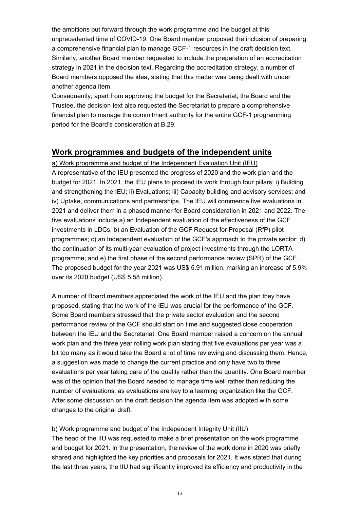the ambitions put forward through the work programme and the budget at this unprecedented time of COVID-19. One Board member proposed the inclusion of preparing a comprehensive financial plan to manage GCF-1 resources in the draft decision text. Similarly, another Board member requested to include the preparation of an accreditation strategy in 2021 in the decision text. Regarding the accreditation strategy, a number of Board members opposed the idea, stating that this matter was being dealt with under another agenda item.

Consequently, apart from approving the budget for the Secretariat, the Board and the Trustee, the decision text also requested the Secretariat to prepare a comprehensive financial plan to manage the commitment authority for the entire GCF-1 programming period for the Board's consideration at B.29.

#### **Work programmes and budgets of the independent units**

#### a) Work programme and budget of the Independent Evaluation Unit (IEU)

A representative of the IEU presented the progress of 2020 and the work plan and the budget for 2021. In 2021, the IEU plans to proceed its work through four pillars: i) Building and strengthening the IEU; ii) Evaluations; iii) Capacity building and advisory services; and iv) Uptake, communications and partnerships. The IEU will commence five evaluations in 2021 and deliver them in a phased manner for Board consideration in 2021 and 2022. The five evaluations include a) an Independent evaluation of the effectiveness of the GCF investments in LDCs; b) an Evaluation of the GCF Request for Proposal (RfP) pilot programmes; c) an Independent evaluation of the GCF's approach to the private sector; d) the continuation of its multi-year evaluation of project investments through the LORTA programme; and e) the first phase of the second performance review (SPR) of the GCF. The proposed budget for the year 2021 was US\$ 5.91 million, marking an increase of 5.9% over its 2020 budget (US\$ 5.58 million).

A number of Board members appreciated the work of the IEU and the plan they have proposed, stating that the work of the IEU was crucial for the performance of the GCF. Some Board members stressed that the private sector evaluation and the second performance review of the GCF should start on time and suggested close cooperation between the IEU and the Secretariat. One Board member raised a concern on the annual work plan and the three year rolling work plan stating that five evaluations per year was a bit too many as it would take the Board a lot of time reviewing and discussing them. Hence, a suggestion was made to change the current practice and only have two to three evaluations per year taking care of the quality rather than the quantity. One Board member was of the opinion that the Board needed to manage time well rather than reducing the number of evaluations, as evaluations are key to a learning organization like the GCF. After some discussion on the draft decision the agenda item was adopted with some changes to the original draft.

#### b) Work programme and budget of the Independent Integrity Unit (IIU)

The head of the IIU was requested to make a brief presentation on the work programme and budget for 2021. In the presentation, the review of the work done in 2020 was briefly shared and highlighted the key priorities and proposals for 2021. It was stated that during the last three years, the IIU had significantly improved its efficiency and productivity in the